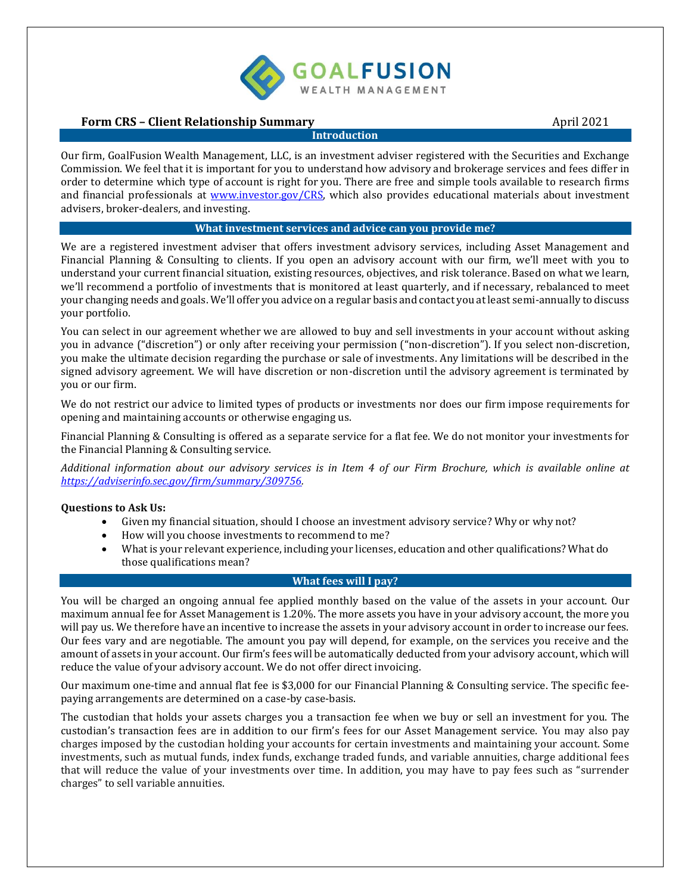

# **Form CRS – Client Relationship Summary April 2021**

#### **Introduction**

Our firm, GoalFusion Wealth Management, LLC, is an investment adviser registered with the Securities and Exchange Commission. We feel that it is important for you to understand how advisory and brokerage services and fees differ in order to determine which type of account is right for you. There are free and simple tools available to research firms and financial professionals at [www.investor.gov/CRS,](http://www.investor.gov/CRS) which also provides educational materials about investment advisers, broker-dealers, and investing.

### **What investment services and advice can you provide me?**

We are a registered investment adviser that offers investment advisory services, including Asset Management and Financial Planning & Consulting to clients. If you open an advisory account with our firm, we'll meet with you to understand your current financial situation, existing resources, objectives, and risk tolerance. Based on what we learn, we'll recommend a portfolio of investments that is monitored at least quarterly, and if necessary, rebalanced to meet your changing needs and goals. We'll offer you advice on a regular basis and contact you at least semi-annually to discuss your portfolio.

You can select in our agreement whether we are allowed to buy and sell investments in your account without asking you in advance ("discretion") or only after receiving your permission ("non-discretion"). If you select non-discretion, you make the ultimate decision regarding the purchase or sale of investments. Any limitations will be described in the signed advisory agreement. We will have discretion or non-discretion until the advisory agreement is terminated by you or our firm.

We do not restrict our advice to limited types of products or investments nor does our firm impose requirements for opening and maintaining accounts or otherwise engaging us.

Financial Planning & Consulting is offered as a separate service for a flat fee. We do not monitor your investments for the Financial Planning & Consulting service.

*Additional information about our advisory services is in Item 4 of our Firm Brochure, which is available online at [https://adviserinfo.sec.gov/firm/summary/309756.](https://adviserinfo.sec.gov/firm/summary/309756)* 

### **Questions to Ask Us:**

- Given my financial situation, should I choose an investment advisory service? Why or why not?
- How will you choose investments to recommend to me?
- What is your relevant experience, including your licenses, education and other qualifications? What do those qualifications mean?

# **What fees will I pay?**

You will be charged an ongoing annual fee applied monthly based on the value of the assets in your account. Our maximum annual fee for Asset Management is 1.20%. The more assets you have in your advisory account, the more you will pay us. We therefore have an incentive to increase the assets in your advisory account in order to increase our fees. Our fees vary and are negotiable. The amount you pay will depend, for example, on the services you receive and the amount of assets in your account. Our firm's fees will be automatically deducted from your advisory account, which will reduce the value of your advisory account. We do not offer direct invoicing.

Our maximum one-time and annual flat fee is \$3,000 for our Financial Planning & Consulting service. The specific feepaying arrangements are determined on a case-by case-basis.

The custodian that holds your assets charges you a transaction fee when we buy or sell an investment for you. The custodian's transaction fees are in addition to our firm's fees for our Asset Management service. You may also pay charges imposed by the custodian holding your accounts for certain investments and maintaining your account. Some investments, such as mutual funds, index funds, exchange traded funds, and variable annuities, charge additional fees that will reduce the value of your investments over time. In addition, you may have to pay fees such as "surrender charges" to sell variable annuities.